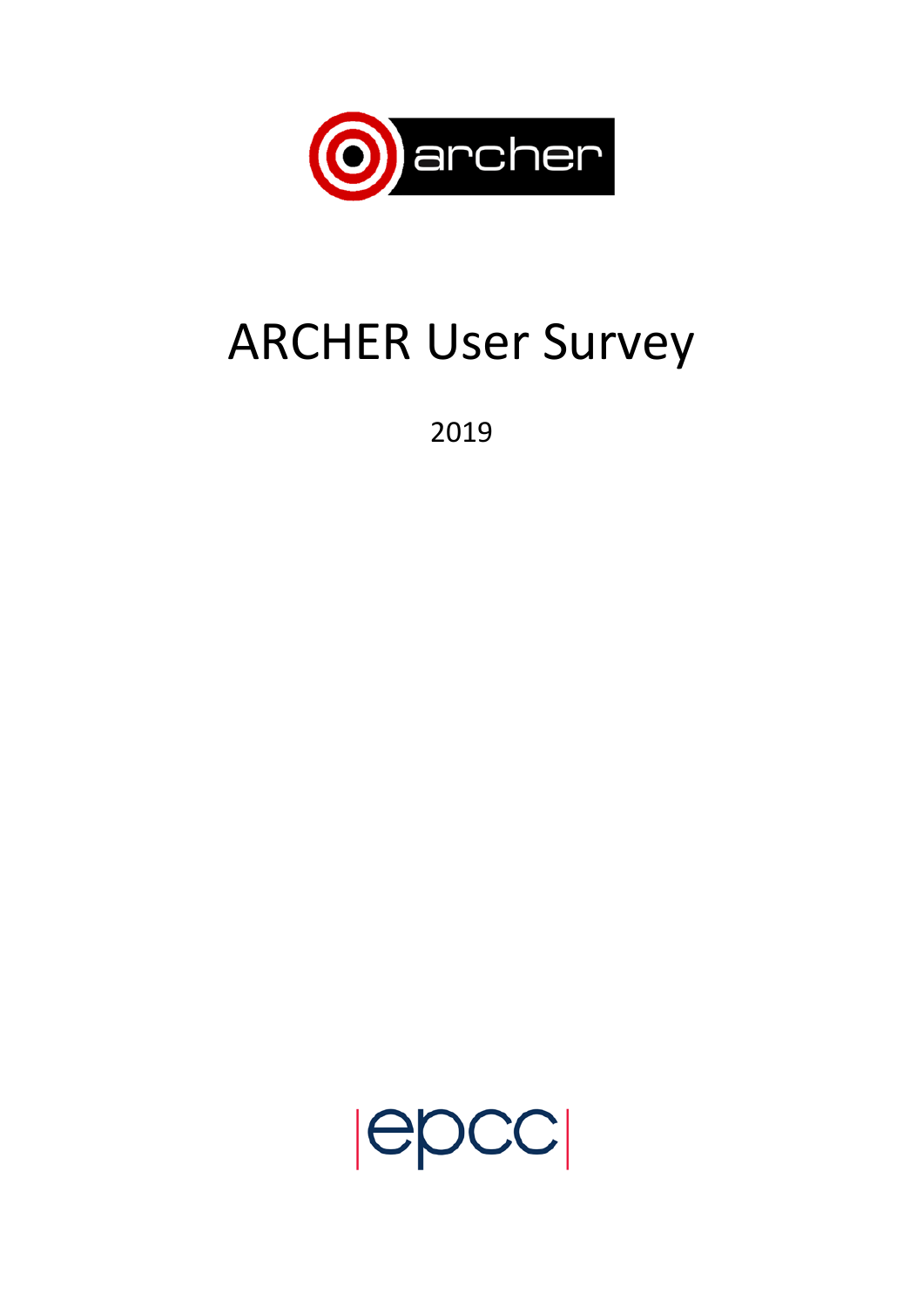

# ARCHER User Survey

2019

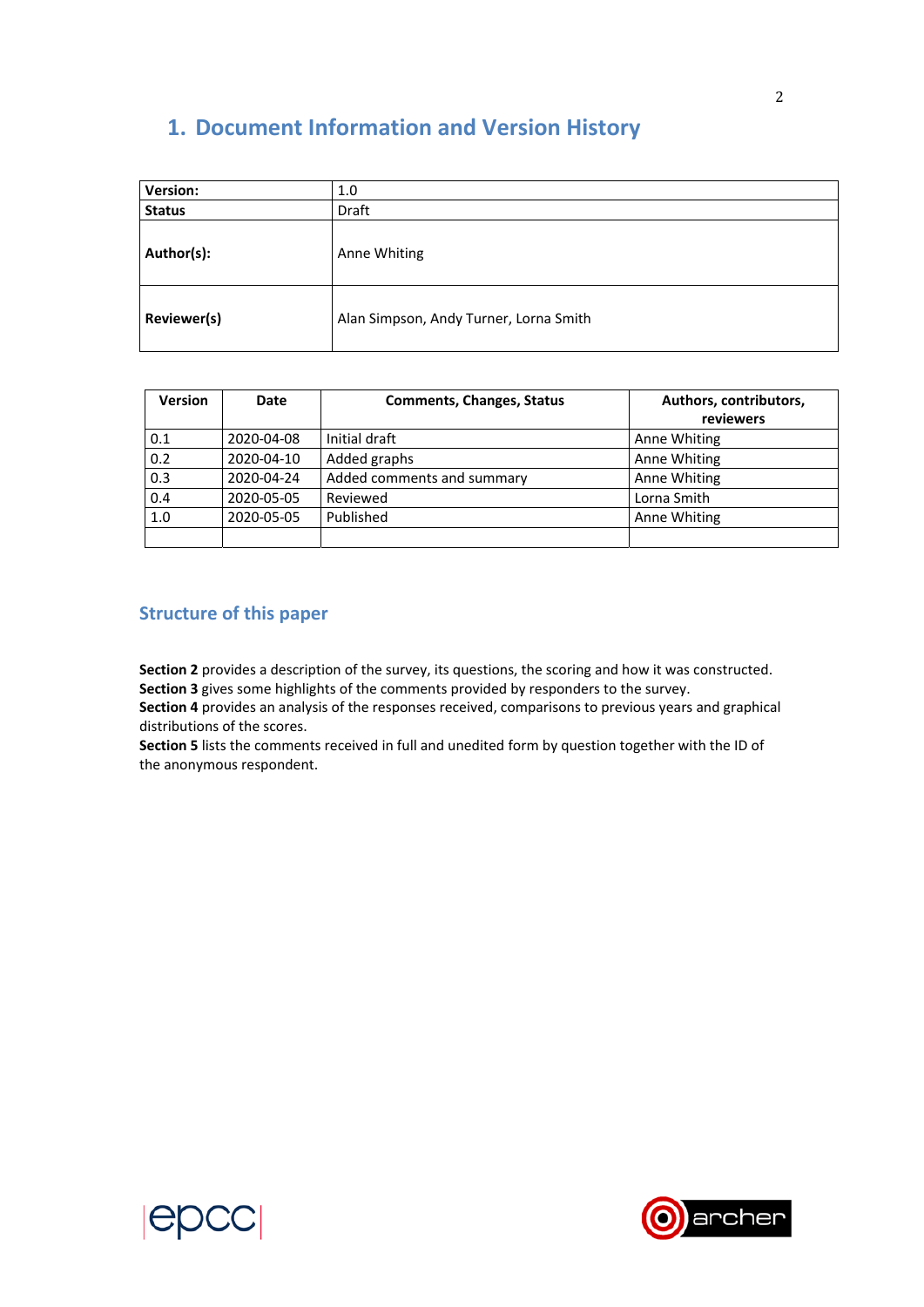# **1. Document Information and Version History**

| <b>Version:</b> | 1.0                                    |
|-----------------|----------------------------------------|
| <b>Status</b>   | Draft                                  |
| Author(s):      | Anne Whiting                           |
| Reviewer(s)     | Alan Simpson, Andy Turner, Lorna Smith |

| <b>Version</b> | <b>Date</b> | <b>Comments, Changes, Status</b> | Authors, contributors,<br>reviewers |
|----------------|-------------|----------------------------------|-------------------------------------|
| 0.1            | 2020-04-08  | Initial draft                    | Anne Whiting                        |
| 0.2            | 2020-04-10  | Added graphs                     | Anne Whiting                        |
| 0.3            | 2020-04-24  | Added comments and summary       | Anne Whiting                        |
| 0.4            | 2020-05-05  | Reviewed                         | Lorna Smith                         |
| 1.0            | 2020-05-05  | Published                        | Anne Whiting                        |
|                |             |                                  |                                     |

# **Structure of this paper**

**Section 2** provides a description of the survey, its questions, the scoring and how it was constructed. **Section 3** gives some highlights of the comments provided by responders to the survey.

**Section 4** provides an analysis of the responses received, comparisons to previous years and graphical distributions of the scores.

**Section 5** lists the comments received in full and unedited form by question together with the ID of the anonymous respondent.



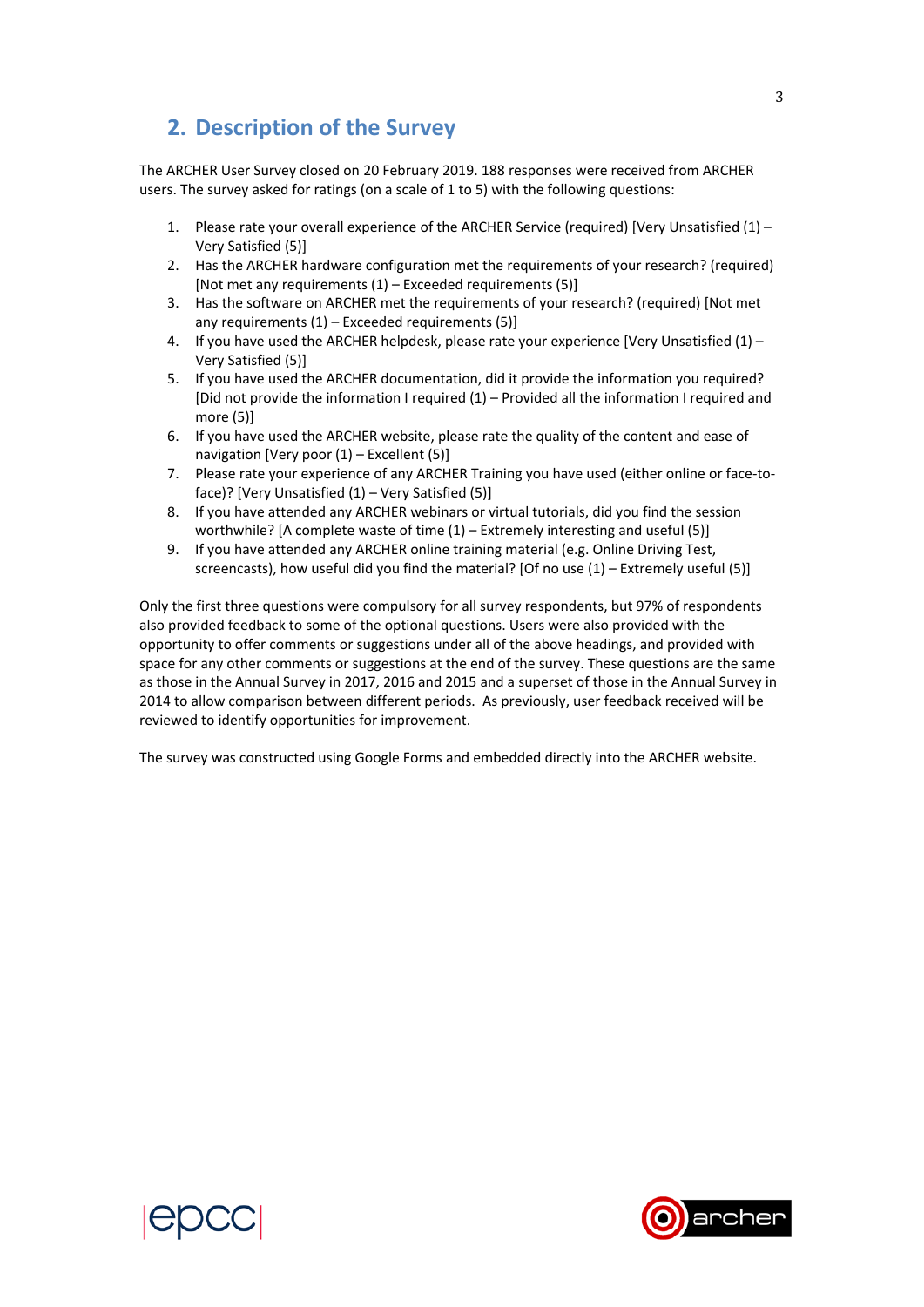# **2. Description of the Survey**

CCC.

The ARCHER User Survey closed on 20 February 2019. 188 responses were received from ARCHER users. The survey asked for ratings (on a scale of 1 to 5) with the following questions:

- 1. Please rate your overall experience of the ARCHER Service (required) [Very Unsatisfied  $(1)$  Very Satisfied (5)]
- 2. Has the ARCHER hardware configuration met the requirements of your research? (required) [Not met any requirements  $(1)$  – Exceeded requirements  $(5)$ ]
- 3. Has the software on ARCHER met the requirements of your research? (required) [Not met any requirements  $(1)$  – Exceeded requirements  $(5)$ ]
- 4. If you have used the ARCHER helpdesk, please rate your experience [Very Unsatisfied (1) Very Satisfied (5)]
- 5. If you have used the ARCHER documentation, did it provide the information you required? [Did not provide the information I required (1) – Provided all the information I required and more (5)]
- 6. If you have used the ARCHER website, please rate the quality of the content and ease of navigation [Very poor (1) – Excellent (5)]
- 7. Please rate your experience of any ARCHER Training you have used (either online or face-toface)? [Very Unsatisfied (1) – Very Satisfied (5)]
- 8. If you have attended any ARCHER webinars or virtual tutorials, did you find the session worthwhile? [A complete waste of time  $(1)$  – Extremely interesting and useful (5)]
- 9. If you have attended any ARCHER online training material (e.g. Online Driving Test, screencasts), how useful did you find the material? [Of no use (1) – Extremely useful (5)]

Only the first three questions were compulsory for all survey respondents, but 97% of respondents also provided feedback to some of the optional questions. Users were also provided with the opportunity to offer comments or suggestions under all of the above headings, and provided with space for any other comments or suggestions at the end of the survey. These questions are the same as those in the Annual Survey in 2017, 2016 and 2015 and a superset of those in the Annual Survey in 2014 to allow comparison between different periods. As previously, user feedback received will be reviewed to identify opportunities for improvement.

The survey was constructed using Google Forms and embedded directly into the ARCHER website.

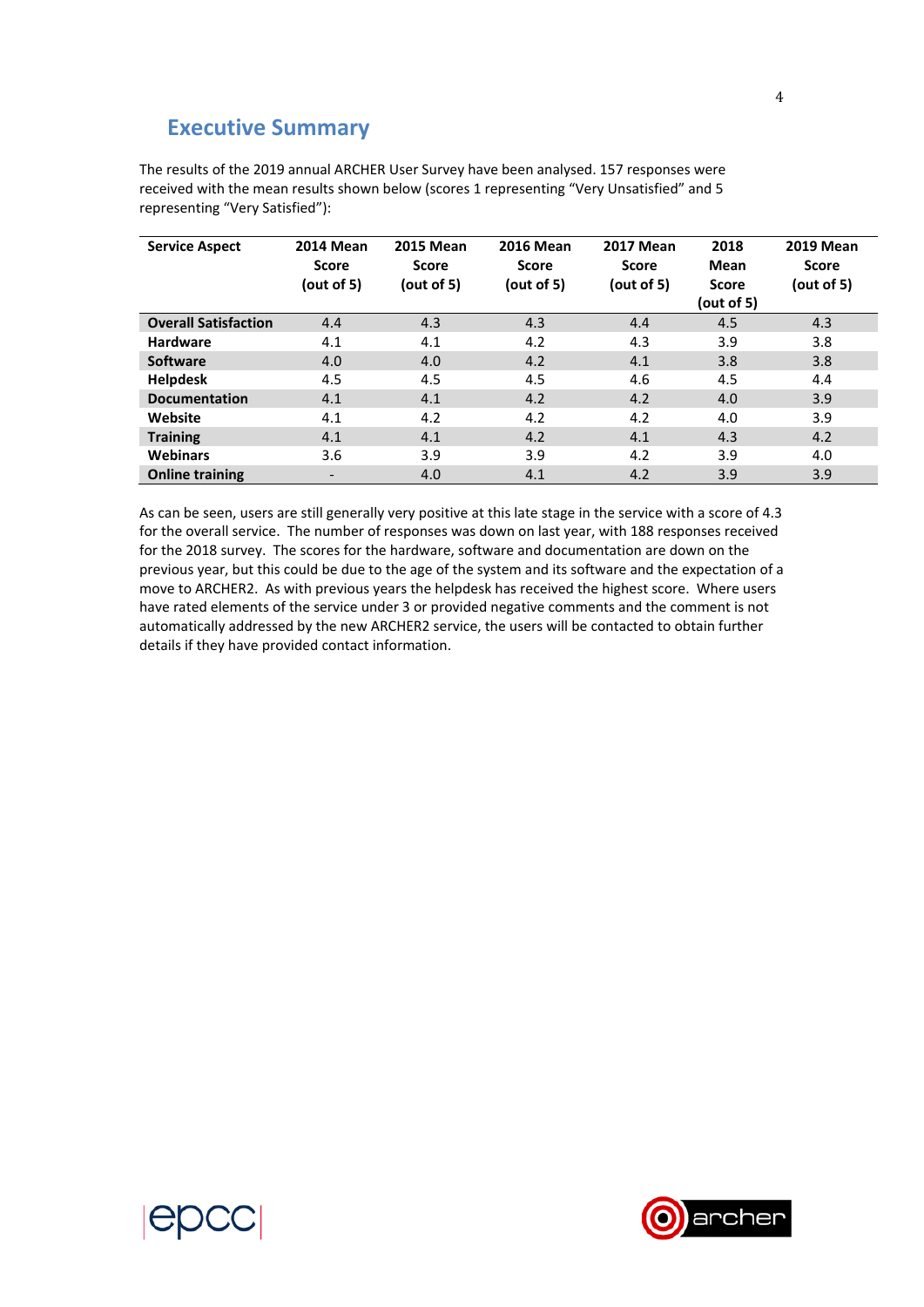# **Executive Summary**

The results of the 2019 annual ARCHER User Survey have been analysed. 157 responses were received with the mean results shown below (scores 1 representing "Very Unsatisfied" and 5 representing "Very Satisfied"):

| <b>Service Aspect</b>       | <b>2014 Mean</b><br>Score<br>(out of 5) | <b>2015 Mean</b><br>Score<br>(out of 5) | <b>2016 Mean</b><br><b>Score</b><br>(out of 5) | <b>2017 Mean</b><br>Score<br>(out of 5) | 2018<br>Mean<br><b>Score</b><br>(out of 5) | <b>2019 Mean</b><br><b>Score</b><br>(out of 5) |
|-----------------------------|-----------------------------------------|-----------------------------------------|------------------------------------------------|-----------------------------------------|--------------------------------------------|------------------------------------------------|
| <b>Overall Satisfaction</b> | 4.4                                     | 4.3                                     | 4.3                                            | 4.4                                     | 4.5                                        | 4.3                                            |
| <b>Hardware</b>             | 4.1                                     | 4.1                                     | 4.2                                            | 4.3                                     | 3.9                                        | 3.8                                            |
| <b>Software</b>             | 4.0                                     | 4.0                                     | 4.2                                            | 4.1                                     | 3.8                                        | 3.8                                            |
| <b>Helpdesk</b>             | 4.5                                     | 4.5                                     | 4.5                                            | 4.6                                     | 4.5                                        | 4.4                                            |
| <b>Documentation</b>        | 4.1                                     | 4.1                                     | 4.2                                            | 4.2                                     | 4.0                                        | 3.9                                            |
| Website                     | 4.1                                     | 4.2                                     | 4.2                                            | 4.2                                     | 4.0                                        | 3.9                                            |
| <b>Training</b>             | 4.1                                     | 4.1                                     | 4.2                                            | 4.1                                     | 4.3                                        | 4.2                                            |
| <b>Webinars</b>             | 3.6                                     | 3.9                                     | 3.9                                            | 4.2                                     | 3.9                                        | 4.0                                            |
| <b>Online training</b>      | $\overline{\phantom{a}}$                | 4.0                                     | 4.1                                            | 4.2                                     | 3.9                                        | 3.9                                            |

As can be seen, users are still generally very positive at this late stage in the service with a score of 4.3 for the overall service. The number of responses was down on last year, with 188 responses received for the 2018 survey. The scores for the hardware, software and documentation are down on the previous year, but this could be due to the age of the system and its software and the expectation of a move to ARCHER2. As with previous years the helpdesk has received the highest score. Where users have rated elements of the service under 3 or provided negative comments and the comment is not automatically addressed by the new ARCHER2 service, the users will be contacted to obtain further details if they have provided contact information.



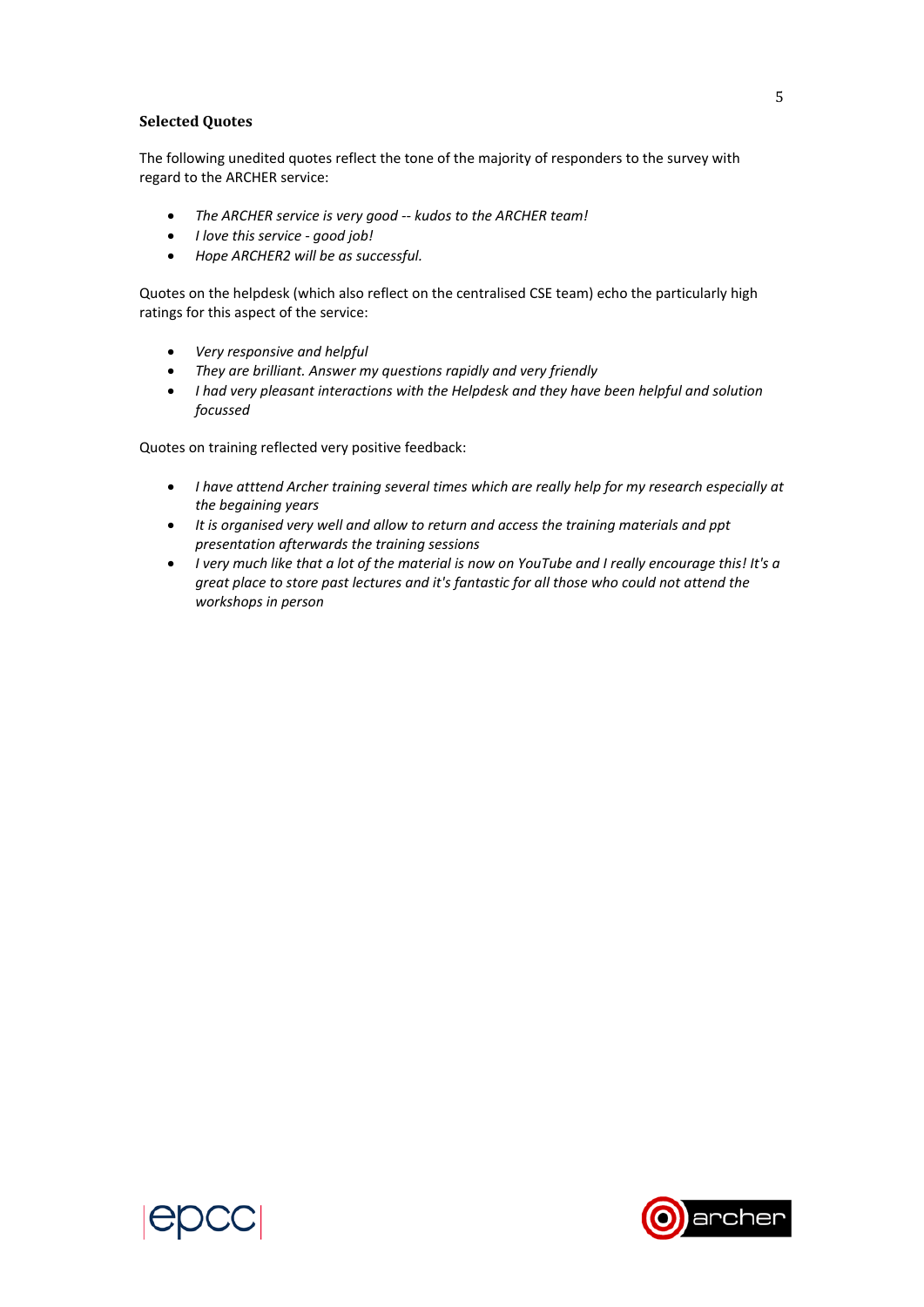### **Selected Quotes**

The following unedited quotes reflect the tone of the majority of responders to the survey with regard to the ARCHER service:

- *The ARCHER service is very good ‐‐ kudos to the ARCHER team!*
- *I love this service ‐ good job!*
- *Hope ARCHER2 will be as successful.*

Quotes on the helpdesk (which also reflect on the centralised CSE team) echo the particularly high ratings for this aspect of the service:

- *Very responsive and helpful*
- *They are brilliant. Answer my questions rapidly and very friendly*
- *I had very pleasant interactions with the Helpdesk and they have been helpful and solution focussed*

Quotes on training reflected very positive feedback:

- *I have atttend Archer training several times which are really help for my research especially at the begaining years*
- *It is organised very well and allow to return and access the training materials and ppt presentation afterwards the training sessions*
- *I very much like that a lot of the material is now on YouTube and I really encourage this! It's a great place to store past lectures and it's fantastic for all those who could not attend the workshops in person*



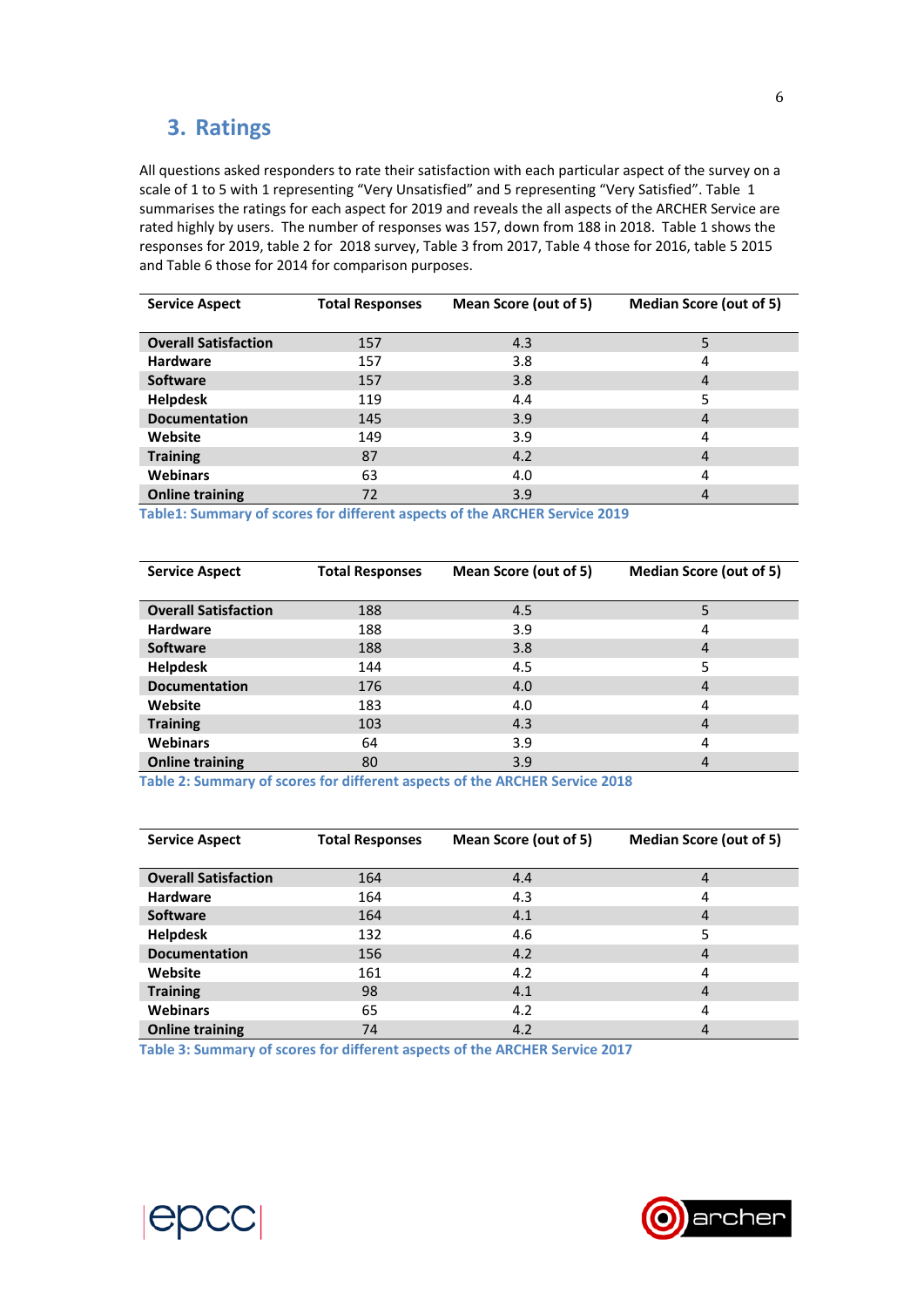# **3. Ratings**

All questions asked responders to rate their satisfaction with each particular aspect of the survey on a scale of 1 to 5 with 1 representing "Very Unsatisfied" and 5 representing "Very Satisfied". Table 1 summarises the ratings for each aspect for 2019 and reveals the all aspects of the ARCHER Service are rated highly by users. The number of responses was 157, down from 188 in 2018. Table 1 shows the responses for 2019, table 2 for 2018 survey, Table 3 from 2017, Table 4 those for 2016, table 5 2015 and Table 6 those for 2014 for comparison purposes.

| <b>Service Aspect</b>       | <b>Total Responses</b> | Mean Score (out of 5) | Median Score (out of 5) |
|-----------------------------|------------------------|-----------------------|-------------------------|
|                             |                        |                       |                         |
| <b>Overall Satisfaction</b> | 157                    | 4.3                   | 5                       |
| <b>Hardware</b>             | 157                    | 3.8                   | 4                       |
| <b>Software</b>             | 157                    | 3.8                   | 4                       |
| <b>Helpdesk</b>             | 119                    | 4.4                   | 5                       |
| <b>Documentation</b>        | 145                    | 3.9                   | 4                       |
| Website                     | 149                    | 3.9                   | 4                       |
| <b>Training</b>             | 87                     | 4.2                   | $\overline{4}$          |
| <b>Webinars</b>             | 63                     | 4.0                   | 4                       |
| <b>Online training</b>      | 72                     | 3.9                   | 4                       |

**Table1: Summary of scores for different aspects of the ARCHER Service 2019** 

| <b>Service Aspect</b>       | <b>Total Responses</b> | Mean Score (out of 5) | Median Score (out of 5) |
|-----------------------------|------------------------|-----------------------|-------------------------|
|                             |                        |                       |                         |
| <b>Overall Satisfaction</b> | 188                    | 4.5                   | 5                       |
| <b>Hardware</b>             | 188                    | 3.9                   | 4                       |
| <b>Software</b>             | 188                    | 3.8                   | $\overline{4}$          |
| <b>Helpdesk</b>             | 144                    | 4.5                   | 5                       |
| <b>Documentation</b>        | 176                    | 4.0                   | $\overline{4}$          |
| Website                     | 183                    | 4.0                   | 4                       |
| <b>Training</b>             | 103                    | 4.3                   | 4                       |
| <b>Webinars</b>             | 64                     | 3.9                   | 4                       |
| <b>Online training</b>      | 80                     | 3.9                   | 4                       |

**Table 2: Summary of scores for different aspects of the ARCHER Service 2018** 

| <b>Service Aspect</b>       | <b>Total Responses</b> | Mean Score (out of 5) | Median Score (out of 5) |
|-----------------------------|------------------------|-----------------------|-------------------------|
| <b>Overall Satisfaction</b> | 164                    | 4.4                   | 4                       |
| <b>Hardware</b>             | 164                    | 4.3                   | 4                       |
| <b>Software</b>             | 164                    | 4.1                   | 4                       |
| <b>Helpdesk</b>             | 132                    | 4.6                   | 5                       |
| <b>Documentation</b>        | 156                    | 4.2                   | 4                       |
| Website                     | 161                    | 4.2                   | 4                       |
| <b>Training</b>             | 98                     | 4.1                   | 4                       |
| <b>Webinars</b>             | 65                     | 4.2                   | 4                       |
| <b>Online training</b>      | 74                     | 4.2                   | 4                       |

**Table 3: Summary of scores for different aspects of the ARCHER Service 2017** 



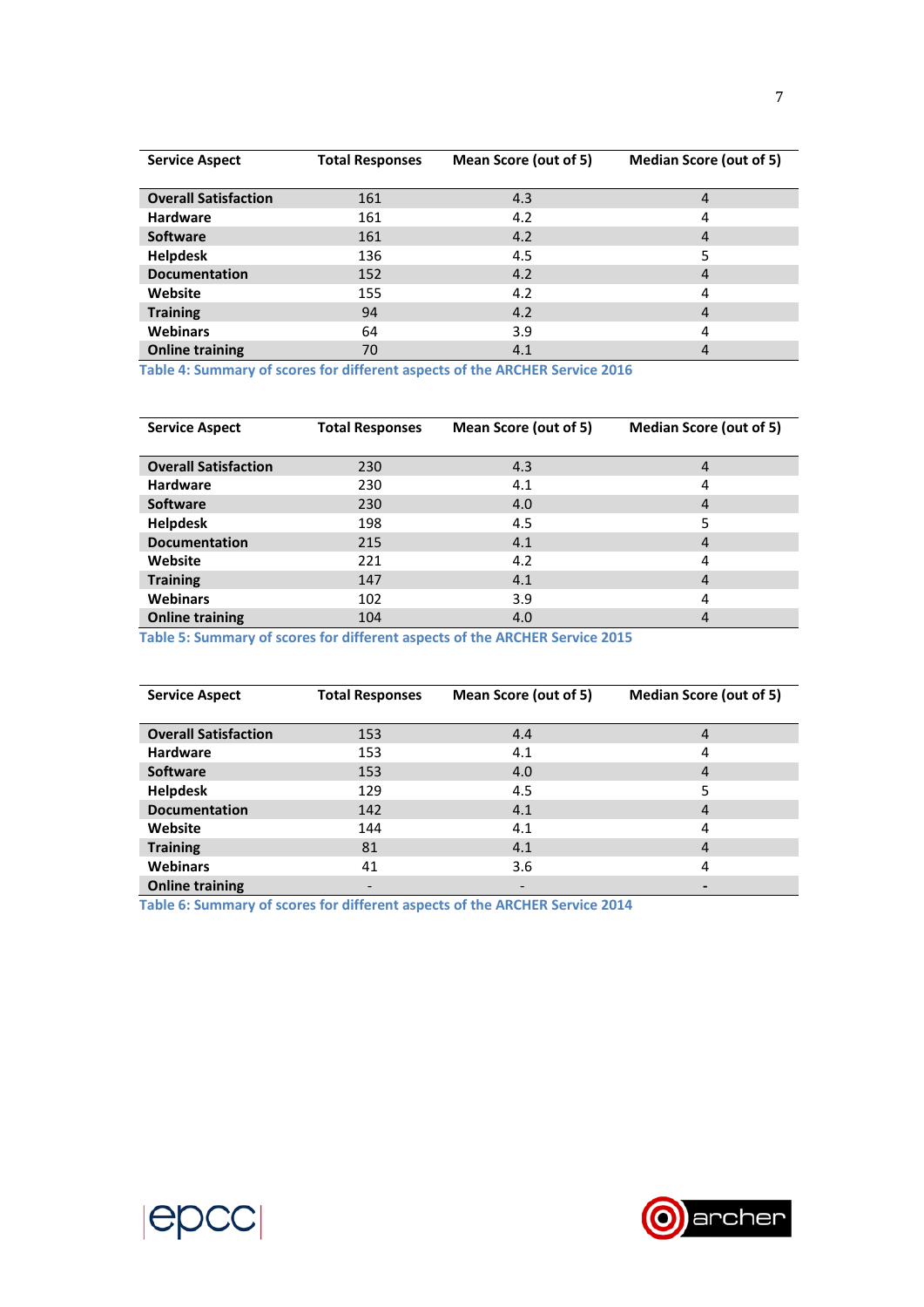| <b>Service Aspect</b>       | <b>Total Responses</b> | Mean Score (out of 5) | Median Score (out of 5) |
|-----------------------------|------------------------|-----------------------|-------------------------|
| <b>Overall Satisfaction</b> | 161                    | 4.3                   | 4                       |
| <b>Hardware</b>             | 161                    | 4.2                   | 4                       |
| <b>Software</b>             | 161                    | 4.2                   | $\overline{4}$          |
| <b>Helpdesk</b>             | 136                    | 4.5                   | 5                       |
| <b>Documentation</b>        | 152                    | 4.2                   | 4                       |
| Website                     | 155                    | 4.2                   | 4                       |
| <b>Training</b>             | 94                     | 4.2                   | $\overline{4}$          |
| <b>Webinars</b>             | 64                     | 3.9                   | 4                       |
| <b>Online training</b>      | 70                     | 4.1                   | 4                       |

**Table 4: Summary of scores for different aspects of the ARCHER Service 2016** 

| <b>Service Aspect</b>       | <b>Total Responses</b> | Mean Score (out of 5) | <b>Median Score (out of 5)</b> |
|-----------------------------|------------------------|-----------------------|--------------------------------|
| <b>Overall Satisfaction</b> | 230                    | 4.3                   | $\overline{4}$                 |
| <b>Hardware</b>             | 230                    | 4.1                   | 4                              |
| <b>Software</b>             | 230                    | 4.0                   | $\overline{4}$                 |
| <b>Helpdesk</b>             | 198                    | 4.5                   | 5                              |
| <b>Documentation</b>        | 215                    | 4.1                   | $\overline{4}$                 |
| Website                     | 221                    | 4.2                   | 4                              |
| <b>Training</b>             | 147                    | 4.1                   | $\overline{4}$                 |
| <b>Webinars</b>             | 102                    | 3.9                   | 4                              |
| <b>Online training</b>      | 104                    | 4.0                   | 4                              |

**Table 5: Summary of scores for different aspects of the ARCHER Service 2015** 

| <b>Service Aspect</b>       | <b>Total Responses</b> | Mean Score (out of 5) | Median Score (out of 5) |
|-----------------------------|------------------------|-----------------------|-------------------------|
| <b>Overall Satisfaction</b> | 153                    | 4.4                   | 4                       |
| <b>Hardware</b>             | 153                    | 4.1                   | 4                       |
| <b>Software</b>             | 153                    | 4.0                   | 4                       |
| <b>Helpdesk</b>             | 129                    | 4.5                   | 5                       |
| <b>Documentation</b>        | 142                    | 4.1                   | 4                       |
| Website                     | 144                    | 4.1                   | 4                       |
| <b>Training</b>             | 81                     | 4.1                   | 4                       |
| <b>Webinars</b>             | 41                     | 3.6                   | 4                       |
| <b>Online training</b>      |                        |                       |                         |

**Table 6: Summary of scores for different aspects of the ARCHER Service 2014** 



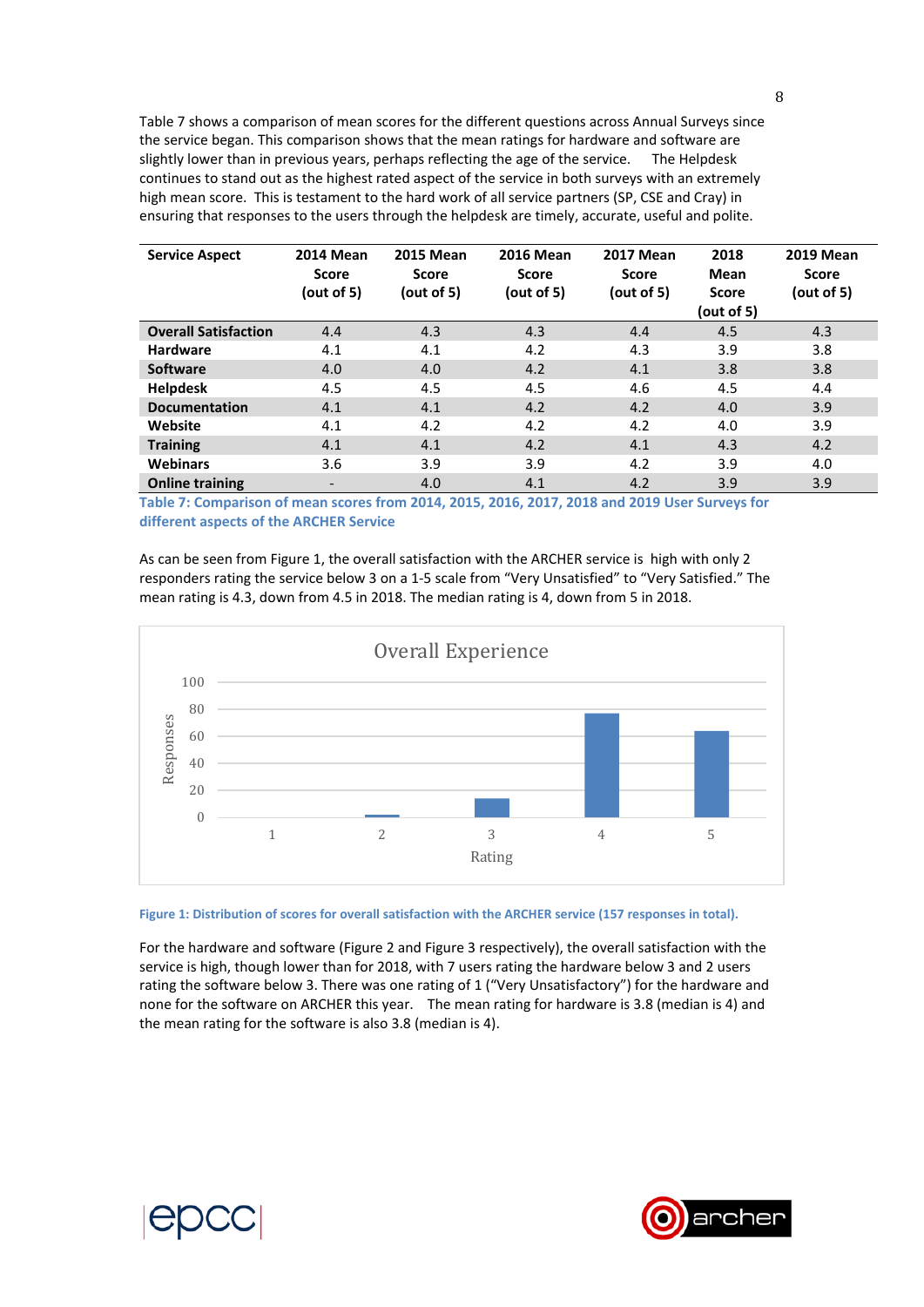Table 7 shows a comparison of mean scores for the different questions across Annual Surveys since the service began. This comparison shows that the mean ratings for hardware and software are slightly lower than in previous years, perhaps reflecting the age of the service. The Helpdesk continues to stand out as the highest rated aspect of the service in both surveys with an extremely high mean score. This is testament to the hard work of all service partners (SP, CSE and Cray) in ensuring that responses to the users through the helpdesk are timely, accurate, useful and polite.

| <b>Service Aspect</b>       | <b>2014 Mean</b><br><b>Score</b><br>(out of 5) | <b>2015 Mean</b><br>Score<br>(out of 5) | <b>2016 Mean</b><br><b>Score</b><br>(out of 5) | <b>2017 Mean</b><br>Score<br>(out of 5) | 2018<br>Mean<br><b>Score</b><br>(out of 5) | <b>2019 Mean</b><br><b>Score</b><br>(out of 5) |
|-----------------------------|------------------------------------------------|-----------------------------------------|------------------------------------------------|-----------------------------------------|--------------------------------------------|------------------------------------------------|
| <b>Overall Satisfaction</b> | 4.4                                            | 4.3                                     | 4.3                                            | 4.4                                     | 4.5                                        | 4.3                                            |
| <b>Hardware</b>             | 4.1                                            | 4.1                                     | 4.2                                            | 4.3                                     | 3.9                                        | 3.8                                            |
| <b>Software</b>             | 4.0                                            | 4.0                                     | 4.2                                            | 4.1                                     | 3.8                                        | 3.8                                            |
| <b>Helpdesk</b>             | 4.5                                            | 4.5                                     | 4.5                                            | 4.6                                     | 4.5                                        | 4.4                                            |
| <b>Documentation</b>        | 4.1                                            | 4.1                                     | 4.2                                            | 4.2                                     | 4.0                                        | 3.9                                            |
| Website                     | 4.1                                            | 4.2                                     | 4.2                                            | 4.2                                     | 4.0                                        | 3.9                                            |
| <b>Training</b>             | 4.1                                            | 4.1                                     | 4.2                                            | 4.1                                     | 4.3                                        | 4.2                                            |
| <b>Webinars</b>             | 3.6                                            | 3.9                                     | 3.9                                            | 4.2                                     | 3.9                                        | 4.0                                            |
| <b>Online training</b>      | $\overline{\phantom{a}}$                       | 4.0                                     | 4.1                                            | 4.2                                     | 3.9                                        | 3.9                                            |

**Table 7: Comparison of mean scores from 2014, 2015, 2016, 2017, 2018 and 2019 User Surveys for different aspects of the ARCHER Service** 

As can be seen from Figure 1, the overall satisfaction with the ARCHER service is high with only 2 responders rating the service below 3 on a 1‐5 scale from "Very Unsatisfied" to "Very Satisfied." The mean rating is 4.3, down from 4.5 in 2018. The median rating is 4, down from 5 in 2018.



**Figure 1: Distribution of scores for overall satisfaction with the ARCHER service (157 responses in total).** 

For the hardware and software (Figure 2 and Figure 3 respectively), the overall satisfaction with the service is high, though lower than for 2018, with 7 users rating the hardware below 3 and 2 users rating the software below 3. There was one rating of 1 ("Very Unsatisfactory") for the hardware and none for the software on ARCHER this year. The mean rating for hardware is 3.8 (median is 4) and the mean rating for the software is also 3.8 (median is 4).

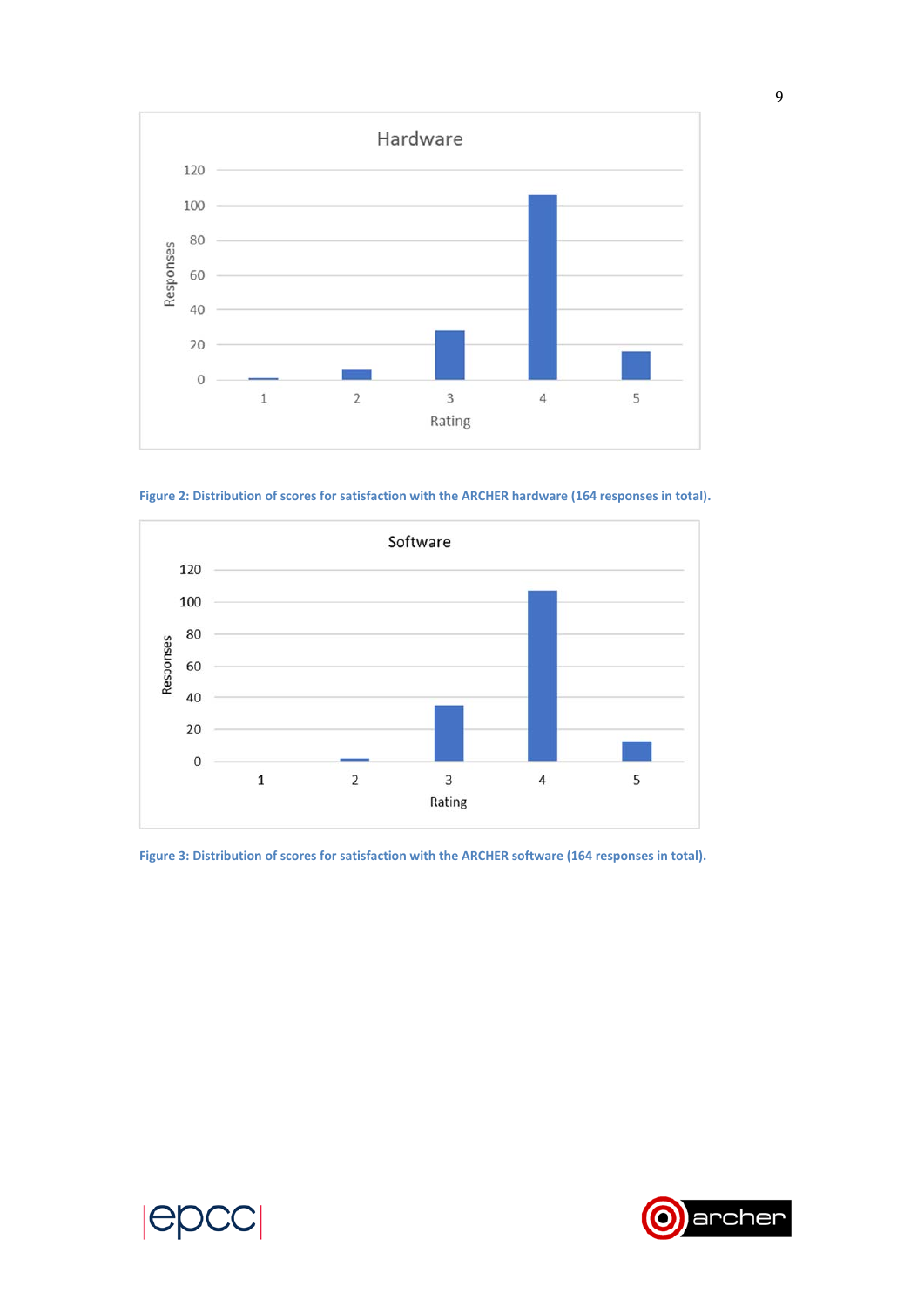

**Figure 2: Distribution of scores for satisfaction with the ARCHER hardware (164 responses in total).** 



**Figure 3: Distribution of scores for satisfaction with the ARCHER software (164 responses in total).** 



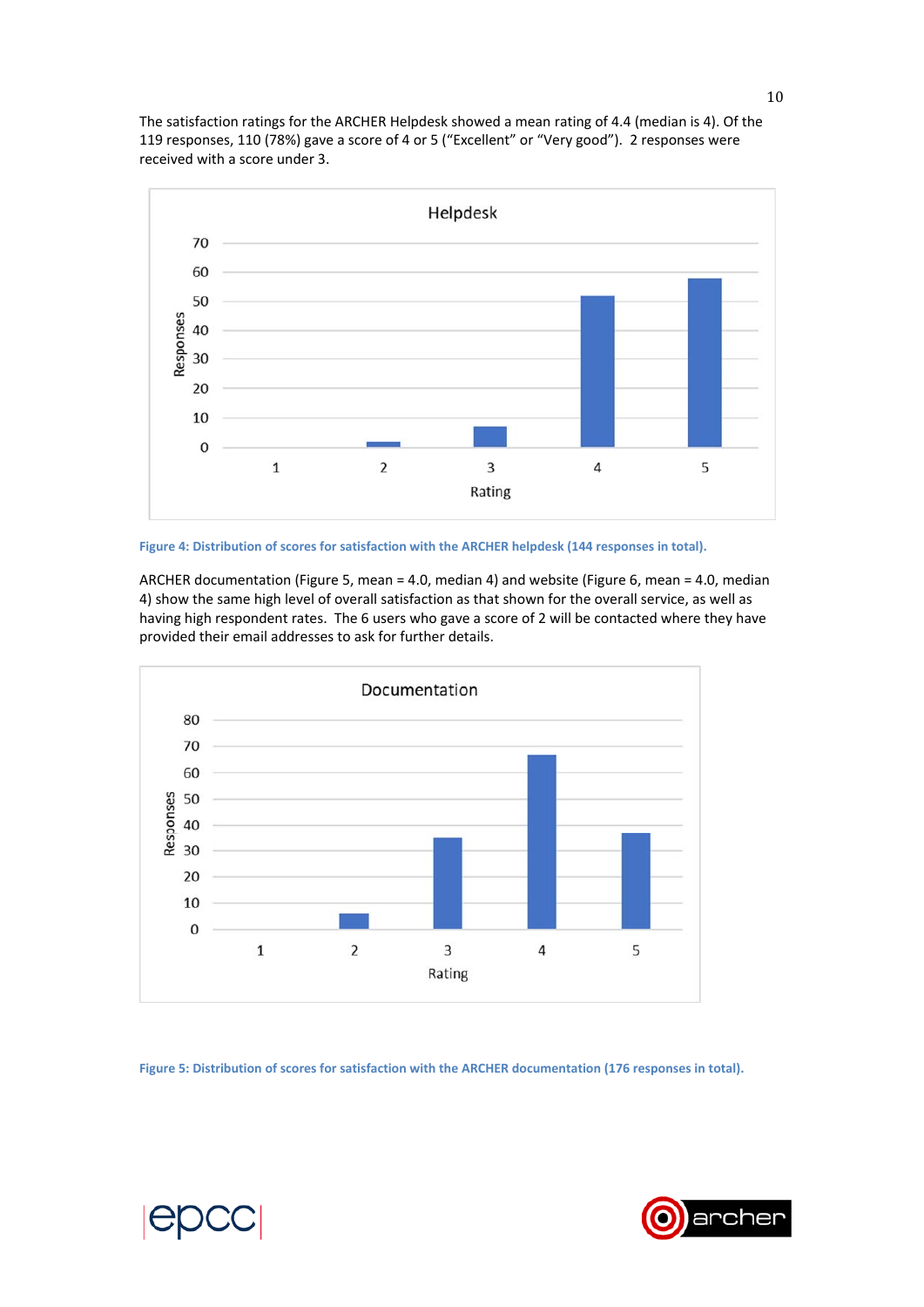The satisfaction ratings for the ARCHER Helpdesk showed a mean rating of 4.4 (median is 4). Of the 119 responses, 110 (78%) gave a score of 4 or 5 ("Excellent" or "Very good"). 2 responses were received with a score under 3.



**Figure 4: Distribution of scores for satisfaction with the ARCHER helpdesk (144 responses in total).** 

ARCHER documentation (Figure 5, mean = 4.0, median 4) and website (Figure 6, mean = 4.0, median 4) show the same high level of overall satisfaction as that shown for the overall service, as well as having high respondent rates. The 6 users who gave a score of 2 will be contacted where they have provided their email addresses to ask for further details.



**Figure 5: Distribution of scores for satisfaction with the ARCHER documentation (176 responses in total).** 



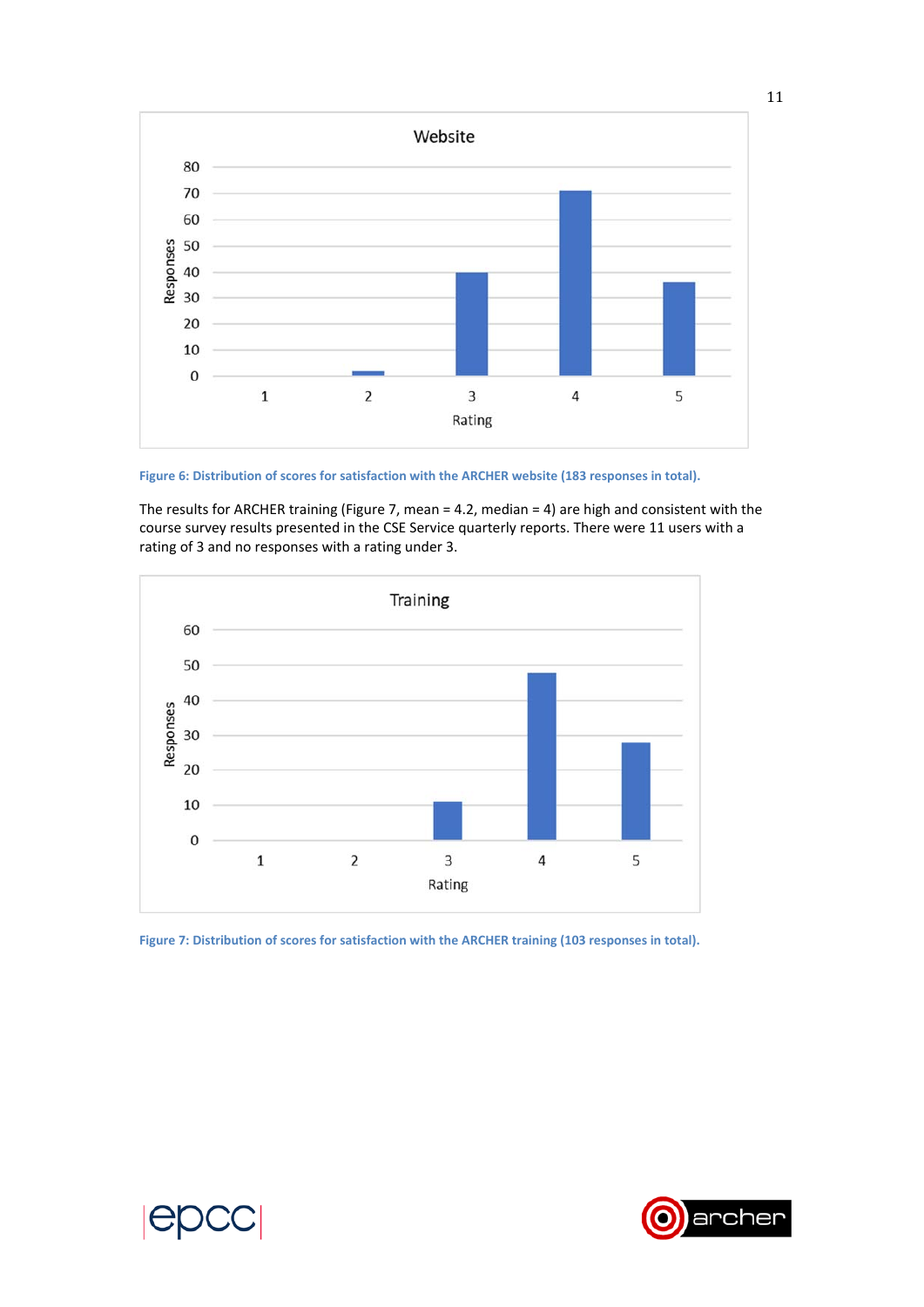

**Figure 6: Distribution of scores for satisfaction with the ARCHER website (183 responses in total).** 

The results for ARCHER training (Figure 7, mean = 4.2, median = 4) are high and consistent with the course survey results presented in the CSE Service quarterly reports. There were 11 users with a rating of 3 and no responses with a rating under 3.



**Figure 7: Distribution of scores for satisfaction with the ARCHER training (103 responses in total).** 

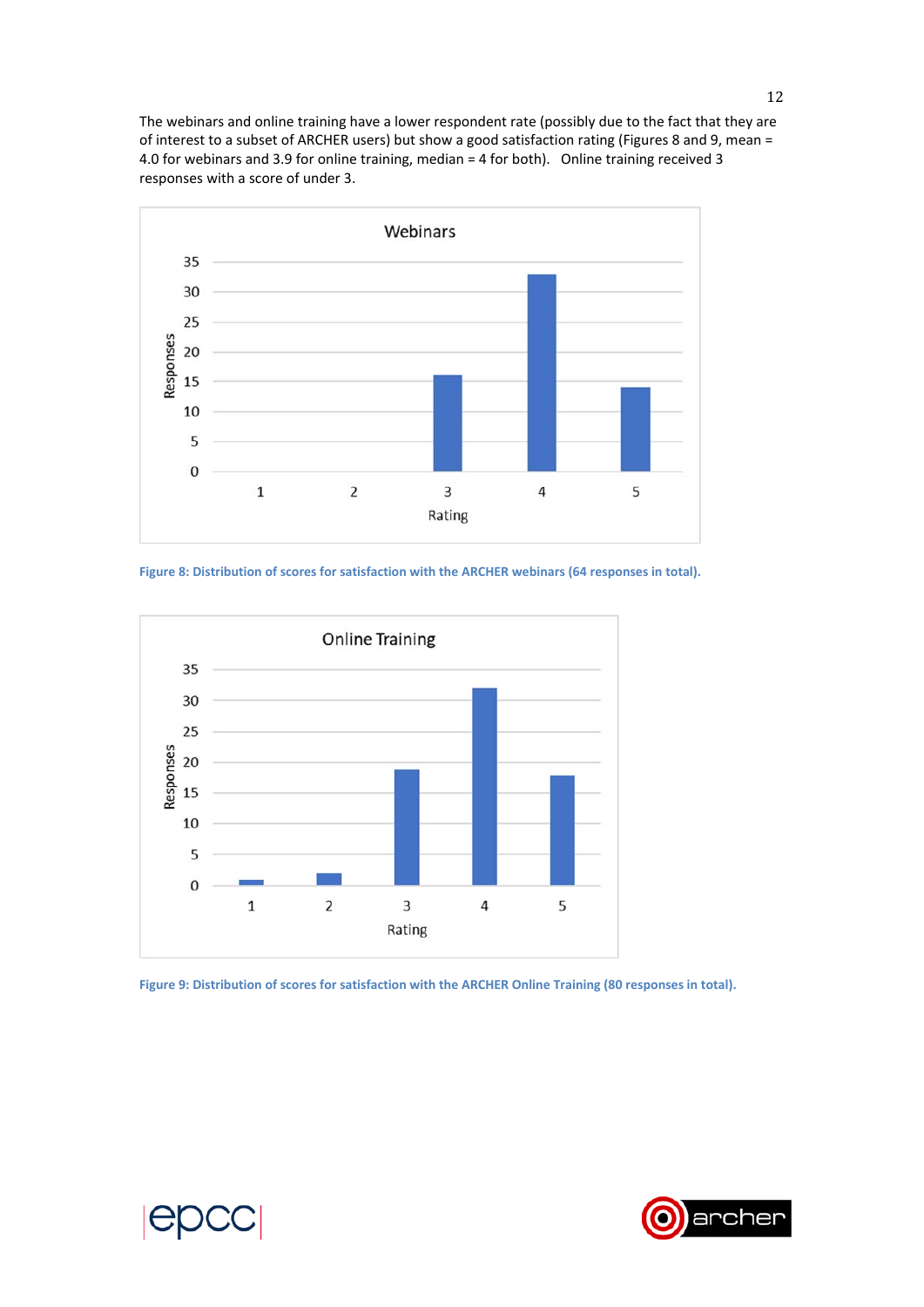The webinars and online training have a lower respondent rate (possibly due to the fact that they are of interest to a subset of ARCHER users) but show a good satisfaction rating (Figures 8 and 9, mean = 4.0 for webinars and 3.9 for online training, median = 4 for both). Online training received 3 responses with a score of under 3.



**Figure 8: Distribution of scores for satisfaction with the ARCHER webinars (64 responses in total).** 



**Figure 9: Distribution of scores for satisfaction with the ARCHER Online Training (80 responses in total).** 



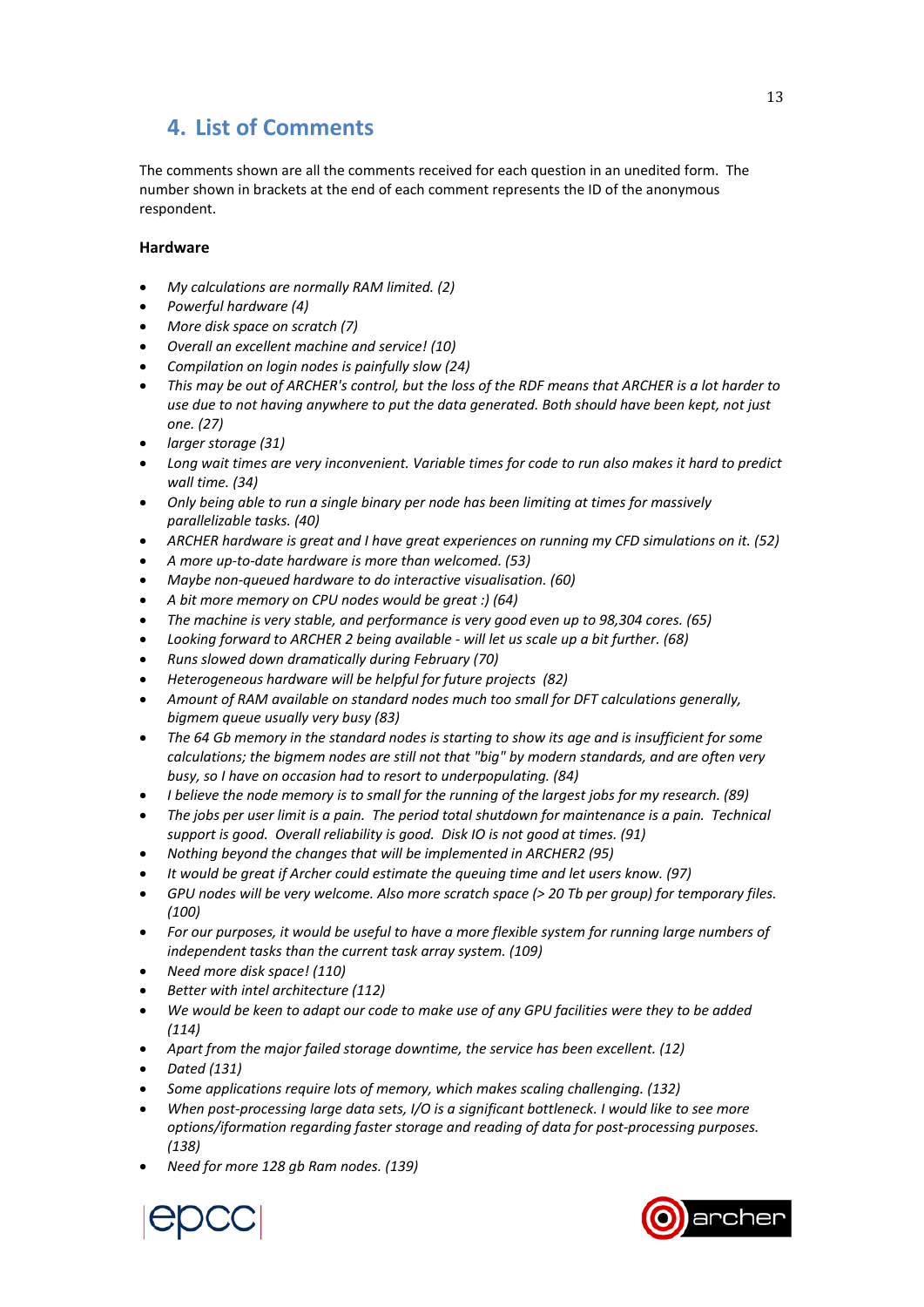# **4. List of Comments**

The comments shown are all the comments received for each question in an unedited form. The number shown in brackets at the end of each comment represents the ID of the anonymous respondent.

## **Hardware**

- *My calculations are normally RAM limited. (2)*
- *Powerful hardware (4)*
- *More disk space on scratch (7)*
- *Overall an excellent machine and service! (10)*
- *Compilation on login nodes is painfully slow (24)*
- *This may be out of ARCHER's control, but the loss of the RDF means that ARCHER is a lot harder to use due to not having anywhere to put the data generated. Both should have been kept, not just one. (27)*
- *larger storage (31)*
- *Long wait times are very inconvenient. Variable times for code to run also makes it hard to predict wall time. (34)*
- *Only being able to run a single binary per node has been limiting at times for massively parallelizable tasks. (40)*
- *ARCHER hardware is great and I have great experiences on running my CFD simulations on it. (52)*
- *A more up‐to‐date hardware is more than welcomed. (53)*
- *Maybe non‐queued hardware to do interactive visualisation. (60)*
- *A bit more memory on CPU nodes would be great :) (64)*
- *The machine is very stable, and performance is very good even up to 98,304 cores. (65)*
- *Looking forward to ARCHER 2 being available ‐ will let us scale up a bit further. (68)*
- *Runs slowed down dramatically during February (70)*
- *Heterogeneous hardware will be helpful for future projects (82)*
- *Amount of RAM available on standard nodes much too small for DFT calculations generally, bigmem queue usually very busy (83)*
- *The 64 Gb memory in the standard nodes is starting to show its age and is insufficient for some calculations; the bigmem nodes are still not that "big" by modern standards, and are often very busy, so I have on occasion had to resort to underpopulating. (84)*
- *I believe the node memory is to small for the running of the largest jobs for my research. (89)*
- *The jobs per user limit is a pain. The period total shutdown for maintenance is a pain. Technical support is good. Overall reliability is good. Disk IO is not good at times. (91)*
- *Nothing beyond the changes that will be implemented in ARCHER2 (95)*
- *It would be great if Archer could estimate the queuing time and let users know. (97)*
- *GPU nodes will be very welcome. Also more scratch space (> 20 Tb per group) for temporary files. (100)*
- *For our purposes, it would be useful to have a more flexible system for running large numbers of independent tasks than the current task array system. (109)*
- *Need more disk space! (110)*
- *Better with intel architecture (112)*
- *We would be keen to adapt our code to make use of any GPU facilities were they to be added (114)*
- *Apart from the major failed storage downtime, the service has been excellent. (12)*
- *Dated (131)*
- *Some applications require lots of memory, which makes scaling challenging. (132)*
- *When post‐processing large data sets, I/O is a significant bottleneck. I would like to see more options/iformation regarding faster storage and reading of data for post‐processing purposes. (138)*
- *Need for more 128 gb Ram nodes. (139)*



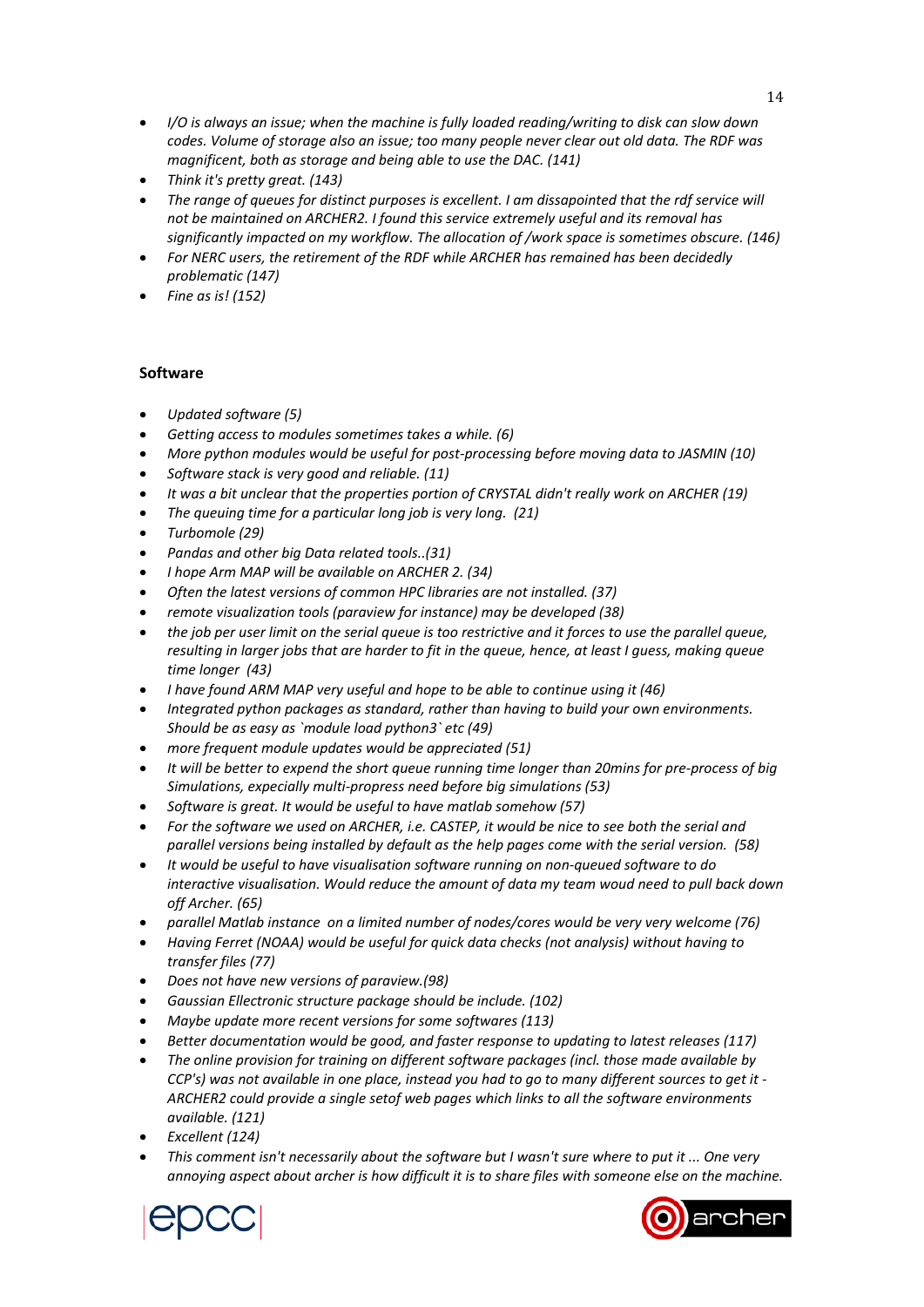- *I/O is always an issue; when the machine is fully loaded reading/writing to disk can slow down codes. Volume of storage also an issue; too many people never clear out old data. The RDF was magnificent, both as storage and being able to use the DAC. (141)*
- *Think it's pretty great. (143)*
- *The range of queues for distinct purposes is excellent. I am dissapointed that the rdf service will not be maintained on ARCHER2. I found this service extremely useful and its removal has significantly impacted on my workflow. The allocation of /work space is sometimes obscure. (146)*
- *For NERC users, the retirement of the RDF while ARCHER has remained has been decidedly problematic (147)*
- *Fine as is! (152)*

## **Software**

- *Updated software (5)*
- *Getting access to modules sometimes takes a while. (6)*
- *More python modules would be useful for post‐processing before moving data to JASMIN (10)*
- *Software stack is very good and reliable. (11)*
- *It was a bit unclear that the properties portion of CRYSTAL didn't really work on ARCHER (19)*
- *The queuing time for a particular long job is very long. (21)*
- *Turbomole (29)*
- *Pandas and other big Data related tools..(31)*
- *I hope Arm MAP will be available on ARCHER 2. (34)*
- *Often the latest versions of common HPC libraries are not installed. (37)*
- *remote visualization tools (paraview for instance) may be developed (38)*
- *the job per user limit on the serial queue is too restrictive and it forces to use the parallel queue, resulting in larger jobs that are harder to fit in the queue, hence, at least I guess, making queue time longer (43)*
- *I have found ARM MAP very useful and hope to be able to continue using it (46)*
- *Integrated python packages as standard, rather than having to build your own environments. Should be as easy as `module load python3` etc (49)*
- *more frequent module updates would be appreciated (51)*
- *It will be better to expend the short queue running time longer than 20mins for pre‐process of big Simulations, expecially multi‐propress need before big simulations (53)*
- *Software is great. It would be useful to have matlab somehow (57)*
- *For the software we used on ARCHER, i.e. CASTEP, it would be nice to see both the serial and parallel versions being installed by default as the help pages come with the serial version. (58)*
- *It would be useful to have visualisation software running on non‐queued software to do interactive visualisation. Would reduce the amount of data my team woud need to pull back down off Archer. (65)*
- *parallel Matlab instance on a limited number of nodes/cores would be very very welcome (76)*
- *Having Ferret (NOAA) would be useful for quick data checks (not analysis) without having to transfer files (77)*
- *Does not have new versions of paraview.(98)*
- *Gaussian Ellectronic structure package should be include. (102)*
- *Maybe update more recent versions for some softwares (113)*
- *Better documentation would be good, and faster response to updating to latest releases (117)*
- *The online provision for training on different software packages (incl. those made available by CCP's) was not available in one place, instead you had to go to many different sources to get it ‐ ARCHER2 could provide a single setof web pages which links to all the software environments available. (121)*
- *Excellent (124)*
- *This comment isn't necessarily about the software but I wasn't sure where to put it ... One very annoying aspect about archer is how difficult it is to share files with someone else on the machine.*



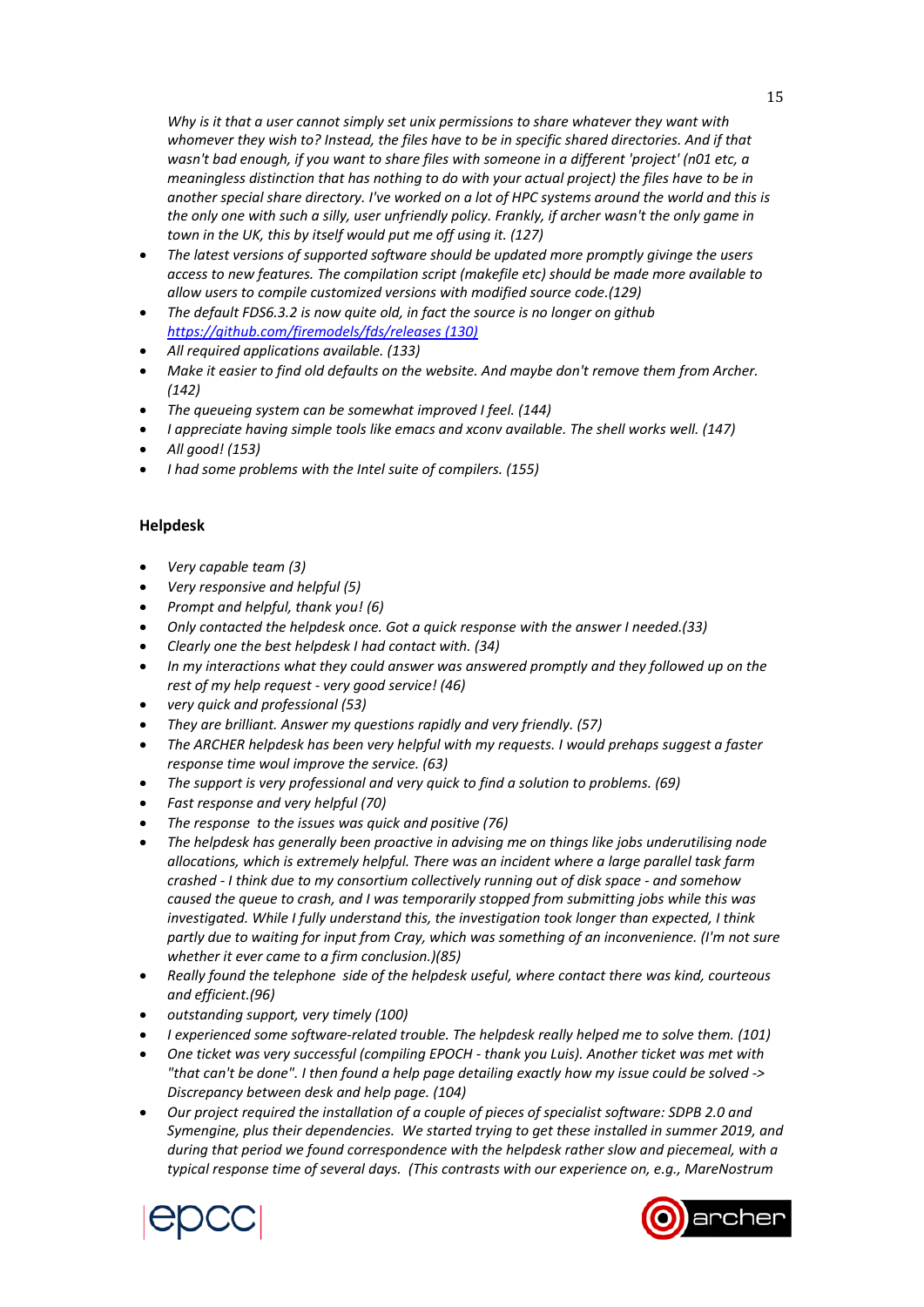*Why is it that a user cannot simply set unix permissions to share whatever they want with whomever they wish to? Instead, the files have to be in specific shared directories. And if that wasn't bad enough, if you want to share files with someone in a different 'project' (n01 etc, a meaningless distinction that has nothing to do with your actual project) the files have to be in another special share directory. I've worked on a lot of HPC systems around the world and this is the only one with such a silly, user unfriendly policy. Frankly, if archer wasn't the only game in town in the UK, this by itself would put me off using it. (127)*

- *The latest versions of supported software should be updated more promptly givinge the users access to new features. The compilation script (makefile etc) should be made more available to allow users to compile customized versions with modified source code.(129)*
- *The default FDS6.3.2 is now quite old, in fact the source is no longer on github https://github.com/firemodels/fds/releases (130)*
- *All required applications available. (133)*
- *Make it easier to find old defaults on the website. And maybe don't remove them from Archer. (142)*
- *The queueing system can be somewhat improved I feel. (144)*
- *I appreciate having simple tools like emacs and xconv available. The shell works well. (147)*
- *All good! (153)*
- *I had some problems with the Intel suite of compilers. (155)*

### **Helpdesk**

- *Very capable team (3)*
- *Very responsive and helpful (5)*
- *Prompt and helpful, thank you! (6)*
- *Only contacted the helpdesk once. Got a quick response with the answer I needed.(33)*
- *Clearly one the best helpdesk I had contact with. (34)*
- *In my interactions what they could answer was answered promptly and they followed up on the rest of my help request ‐ very good service! (46)*
- *very quick and professional (53)*
- *They are brilliant. Answer my questions rapidly and very friendly. (57)*
- *The ARCHER helpdesk has been very helpful with my requests. I would prehaps suggest a faster response time woul improve the service. (63)*
- *The support is very professional and very quick to find a solution to problems. (69)*
- *Fast response and very helpful (70)*
- *The response to the issues was quick and positive (76)*
- *The helpdesk has generally been proactive in advising me on things like jobs underutilising node allocations, which is extremely helpful. There was an incident where a large parallel task farm crashed ‐ I think due to my consortium collectively running out of disk space ‐ and somehow caused the queue to crash, and I was temporarily stopped from submitting jobs while this was investigated. While I fully understand this, the investigation took longer than expected, I think partly due to waiting for input from Cray, which was something of an inconvenience. (I'm not sure whether it ever came to a firm conclusion.)(85)*
- *Really found the telephone side of the helpdesk useful, where contact there was kind, courteous and efficient.(96)*
- *outstanding support, very timely (100)*
- *I experienced some software‐related trouble. The helpdesk really helped me to solve them. (101)*
- *One ticket was very successful (compiling EPOCH ‐ thank you Luis). Another ticket was met with "that can't be done". I then found a help page detailing exactly how my issue could be solved ‐> Discrepancy between desk and help page. (104)*
- *Our project required the installation of a couple of pieces of specialist software: SDPB 2.0 and Symengine, plus their dependencies. We started trying to get these installed in summer 2019, and during that period we found correspondence with the helpdesk rather slow and piecemeal, with a typical response time of several days. (This contrasts with our experience on, e.g., MareNostrum*



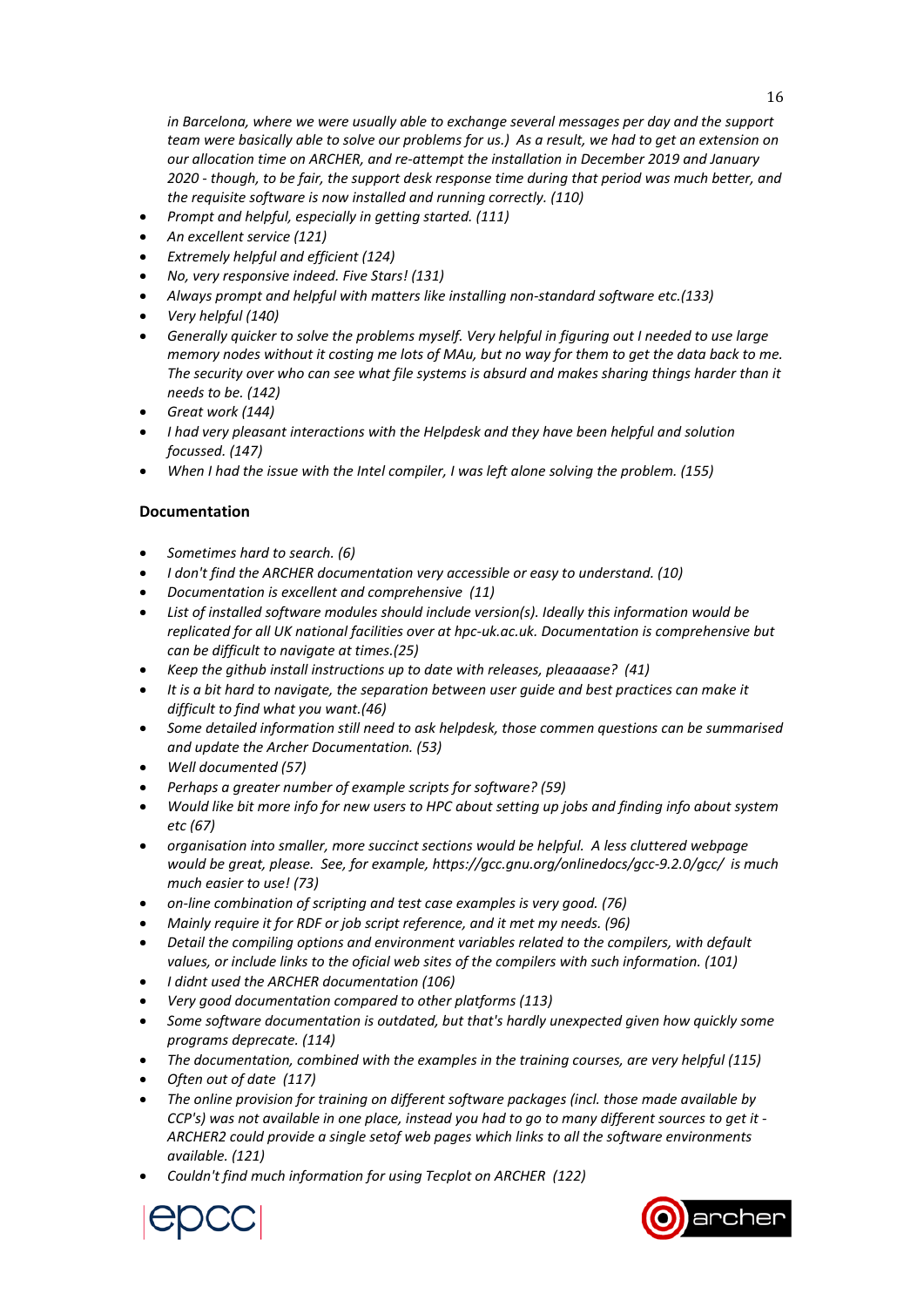*in Barcelona, where we were usually able to exchange several messages per day and the support team were basically able to solve our problems for us.) As a result, we had to get an extension on our allocation time on ARCHER, and re‐attempt the installation in December 2019 and January 2020 ‐ though, to be fair, the support desk response time during that period was much better, and the requisite software is now installed and running correctly. (110)* 

- *Prompt and helpful, especially in getting started. (111)*
- *An excellent service (121)*
- *Extremely helpful and efficient (124)*
- *No, very responsive indeed. Five Stars! (131)*
- *Always prompt and helpful with matters like installing non‐standard software etc.(133)*
- *Very helpful (140)*
- *Generally quicker to solve the problems myself. Very helpful in figuring out I needed to use large memory nodes without it costing me lots of MAu, but no way for them to get the data back to me. The security over who can see what file systems is absurd and makes sharing things harder than it needs to be. (142)*
- *Great work (144)*
- *I had very pleasant interactions with the Helpdesk and they have been helpful and solution focussed. (147)*
- *When I had the issue with the Intel compiler, I was left alone solving the problem. (155)*

## **Documentation**

- *Sometimes hard to search. (6)*
- *I don't find the ARCHER documentation very accessible or easy to understand. (10)*
- *Documentation is excellent and comprehensive (11)*
- *List of installed software modules should include version(s). Ideally this information would be replicated for all UK national facilities over at hpc‐uk.ac.uk. Documentation is comprehensive but can be difficult to navigate at times.(25)*
- *Keep the github install instructions up to date with releases, pleaaaase? (41)*
- *It is a bit hard to navigate, the separation between user guide and best practices can make it difficult to find what you want.(46)*
- *Some detailed information still need to ask helpdesk, those commen questions can be summarised and update the Archer Documentation. (53)*
- *Well documented (57)*
- *Perhaps a greater number of example scripts for software? (59)*
- *Would like bit more info for new users to HPC about setting up jobs and finding info about system etc (67)*
- *organisation into smaller, more succinct sections would be helpful. A less cluttered webpage would be great, please. See, for example, https://gcc.gnu.org/onlinedocs/gcc‐9.2.0/gcc/ is much much easier to use! (73)*
- *on‐line combination of scripting and test case examples is very good. (76)*
- *Mainly require it for RDF or job script reference, and it met my needs. (96)*
- *Detail the compiling options and environment variables related to the compilers, with default values, or include links to the oficial web sites of the compilers with such information. (101)*
- *I didnt used the ARCHER documentation (106)*
- *Very good documentation compared to other platforms (113)*
- *Some software documentation is outdated, but that's hardly unexpected given how quickly some programs deprecate. (114)*
- *The documentation, combined with the examples in the training courses, are very helpful (115)*
- *Often out of date (117)*
- *The online provision for training on different software packages (incl. those made available by CCP's) was not available in one place, instead you had to go to many different sources to get it ‐ ARCHER2 could provide a single setof web pages which links to all the software environments available. (121)*
- *Couldn't find much information for using Tecplot on ARCHER (122)*



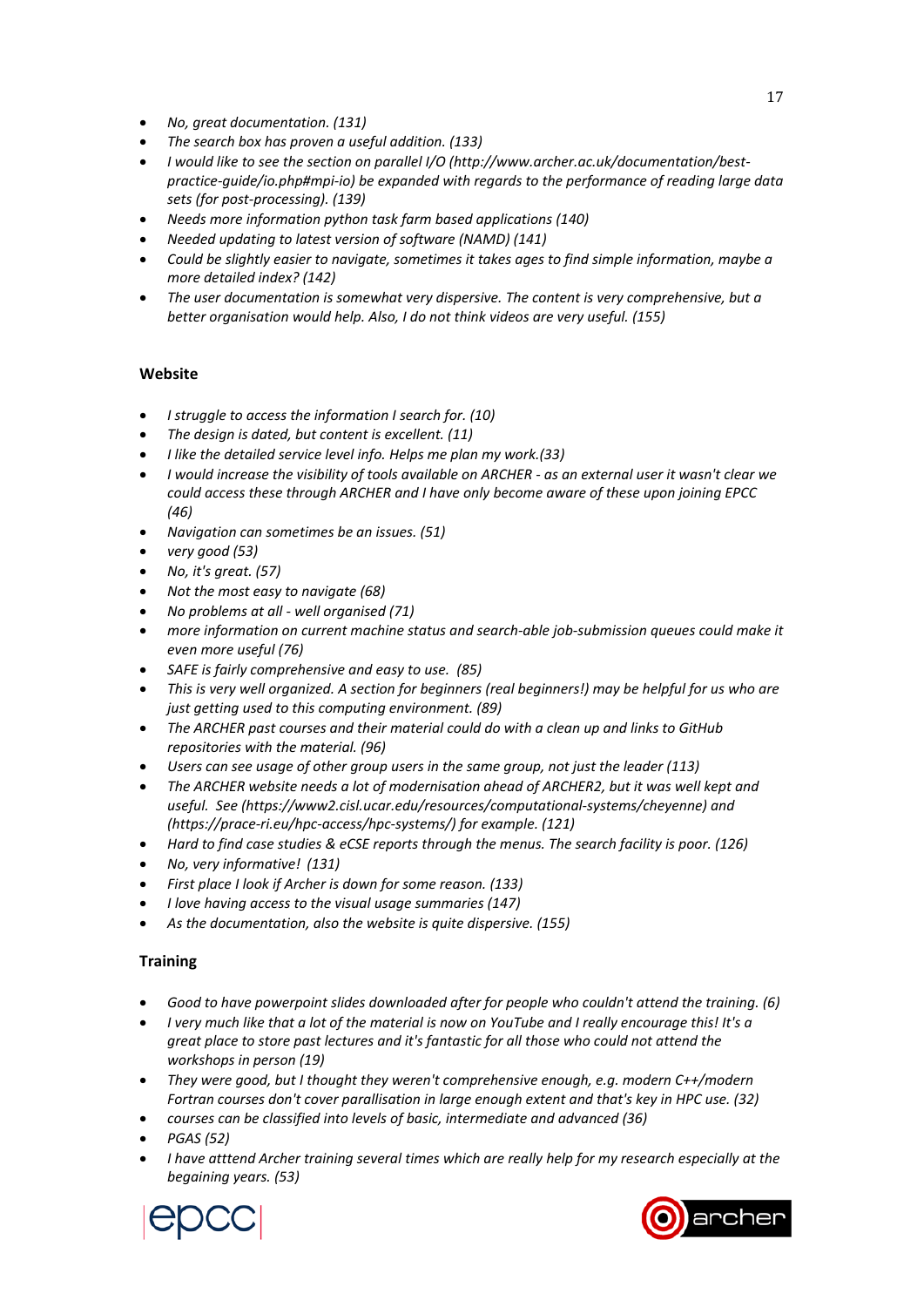- *No, great documentation. (131)*
- *The search box has proven a useful addition. (133)*
- *I would like to see the section on parallel I/O (http://www.archer.ac.uk/documentation/best‐ practice‐guide/io.php#mpi‐io) be expanded with regards to the performance of reading large data sets (for post‐processing). (139)*
- *Needs more information python task farm based applications (140)*
- *Needed updating to latest version of software (NAMD) (141)*
- *Could be slightly easier to navigate, sometimes it takes ages to find simple information, maybe a more detailed index? (142)*
- *The user documentation is somewhat very dispersive. The content is very comprehensive, but a better organisation would help. Also, I do not think videos are very useful. (155)*

## **Website**

- *I struggle to access the information I search for. (10)*
- *The design is dated, but content is excellent. (11)*
- *I like the detailed service level info. Helps me plan my work.(33)*
- *I would increase the visibility of tools available on ARCHER ‐ as an external user it wasn't clear we could access these through ARCHER and I have only become aware of these upon joining EPCC (46)*
- *Navigation can sometimes be an issues. (51)*
- *very good (53)*
- *No, it's great. (57)*
- *Not the most easy to navigate (68)*
- *No problems at all ‐ well organised (71)*
- *more information on current machine status and search‐able job‐submission queues could make it even more useful (76)*
- *SAFE is fairly comprehensive and easy to use. (85)*
- *This is very well organized. A section for beginners (real beginners!) may be helpful for us who are just getting used to this computing environment. (89)*
- *The ARCHER past courses and their material could do with a clean up and links to GitHub repositories with the material. (96)*
- *Users can see usage of other group users in the same group, not just the leader (113)*
- *The ARCHER website needs a lot of modernisation ahead of ARCHER2, but it was well kept and useful. See (https://www2.cisl.ucar.edu/resources/computational‐systems/cheyenne) and (https://prace‐ri.eu/hpc‐access/hpc‐systems/) for example. (121)*
- *Hard to find case studies & eCSE reports through the menus. The search facility is poor. (126)*
- *No, very informative! (131)*
- *First place I look if Archer is down for some reason. (133)*
- *I love having access to the visual usage summaries (147)*
- *As the documentation, also the website is quite dispersive. (155)*

## **Training**

- *Good to have powerpoint slides downloaded after for people who couldn't attend the training. (6)*
- *I very much like that a lot of the material is now on YouTube and I really encourage this! It's a great place to store past lectures and it's fantastic for all those who could not attend the workshops in person (19)*
- *They were good, but I thought they weren't comprehensive enough, e.g. modern C++/modern Fortran courses don't cover parallisation in large enough extent and that's key in HPC use. (32)*
- *courses can be classified into levels of basic, intermediate and advanced (36)*
- *PGAS (52)*
- *I have atttend Archer training several times which are really help for my research especially at the begaining years. (53)*



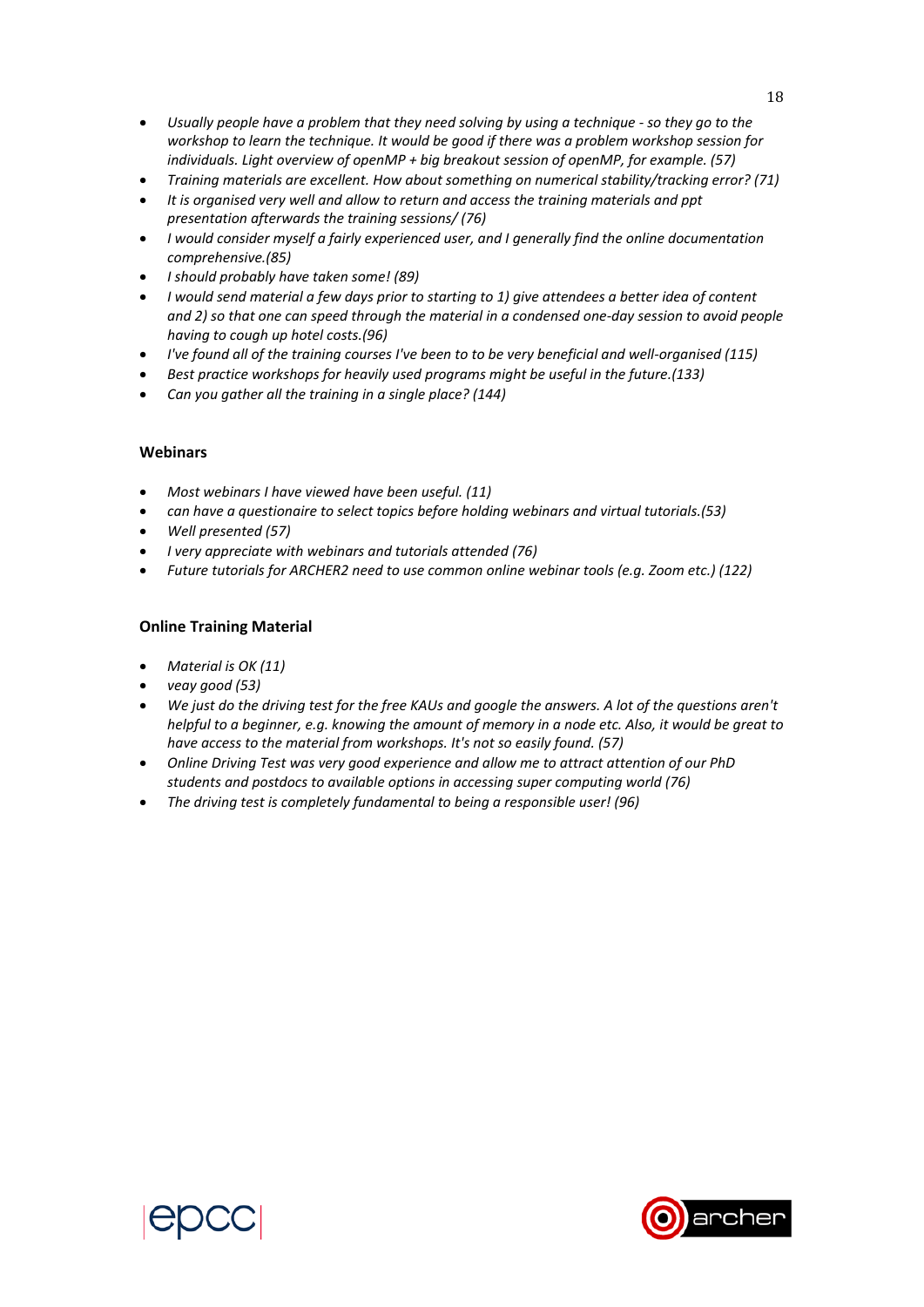- *Usually people have a problem that they need solving by using a technique ‐ so they go to the workshop to learn the technique. It would be good if there was a problem workshop session for individuals. Light overview of openMP + big breakout session of openMP, for example. (57)*
- *Training materials are excellent. How about something on numerical stability/tracking error? (71)*
- *It is organised very well and allow to return and access the training materials and ppt presentation afterwards the training sessions/ (76)*
- *I would consider myself a fairly experienced user, and I generally find the online documentation comprehensive.(85)*
- *I should probably have taken some! (89)*
- *I would send material a few days prior to starting to 1) give attendees a better idea of content and 2) so that one can speed through the material in a condensed one‐day session to avoid people having to cough up hotel costs.(96)*
- *I've found all of the training courses I've been to to be very beneficial and well‐organised (115)*
- *Best practice workshops for heavily used programs might be useful in the future.(133)*
- *Can you gather all the training in a single place? (144)*

### **Webinars**

- *Most webinars I have viewed have been useful. (11)*
- *can have a questionaire to select topics before holding webinars and virtual tutorials.(53)*
- *Well presented (57)*
- *I very appreciate with webinars and tutorials attended (76)*
- *Future tutorials for ARCHER2 need to use common online webinar tools (e.g. Zoom etc.) (122)*

### **Online Training Material**

- *Material is OK (11)*
- *veay good (53)*
- *We just do the driving test for the free KAUs and google the answers. A lot of the questions aren't helpful to a beginner, e.g. knowing the amount of memory in a node etc. Also, it would be great to have access to the material from workshops. It's not so easily found. (57)*
- *Online Driving Test was very good experience and allow me to attract attention of our PhD students and postdocs to available options in accessing super computing world (76)*
- *The driving test is completely fundamental to being a responsible user! (96)*